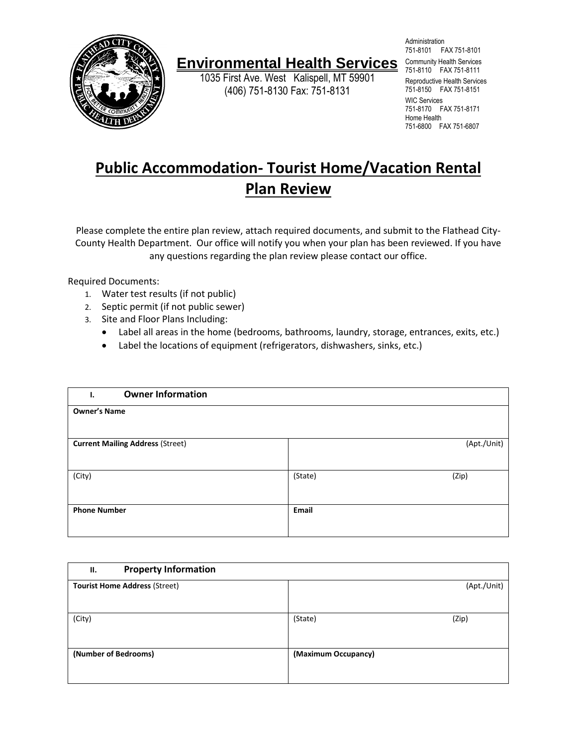

## **Environmental Health Services** Community Health Services

1035 First Ave. West Kalispell, MT 59901 (406) 751-8130 Fax: 751-8131

Administration 751-8101 FAX 751-8101 751-8110 FAX 751-8111 Reproductive Health Services 751-8150 FAX 751-8151 WIC Services 751-8170 FAX 751-8171 Home Health 751-6800 FAX 751-6807

## **Public Accommodation- Tourist Home/Vacation Rental Plan Review**

Please complete the entire plan review, attach required documents, and submit to the Flathead City-County Health Department. Our office will notify you when your plan has been reviewed. If you have any questions regarding the plan review please contact our office.

Required Documents:

- 1. Water test results (if not public)
- 2. Septic permit (if not public sewer)
- 3. Site and Floor Plans Including:
	- Label all areas in the home (bedrooms, bathrooms, laundry, storage, entrances, exits, etc.)
	- Label the locations of equipment (refrigerators, dishwashers, sinks, etc.)

| <b>Owner Information</b><br>Ι.          |                  |
|-----------------------------------------|------------------|
| <b>Owner's Name</b>                     |                  |
|                                         |                  |
| <b>Current Mailing Address (Street)</b> | (Apt./Unit)      |
|                                         |                  |
| (City)                                  | (State)<br>(Zip) |
|                                         |                  |
| <b>Phone Number</b>                     | Email            |
|                                         |                  |

| <b>Property Information</b><br>н.    |                     |
|--------------------------------------|---------------------|
| <b>Tourist Home Address (Street)</b> | (Apt./Unit)         |
| (City)                               | (State)<br>(Zip)    |
| (Number of Bedrooms)                 | (Maximum Occupancy) |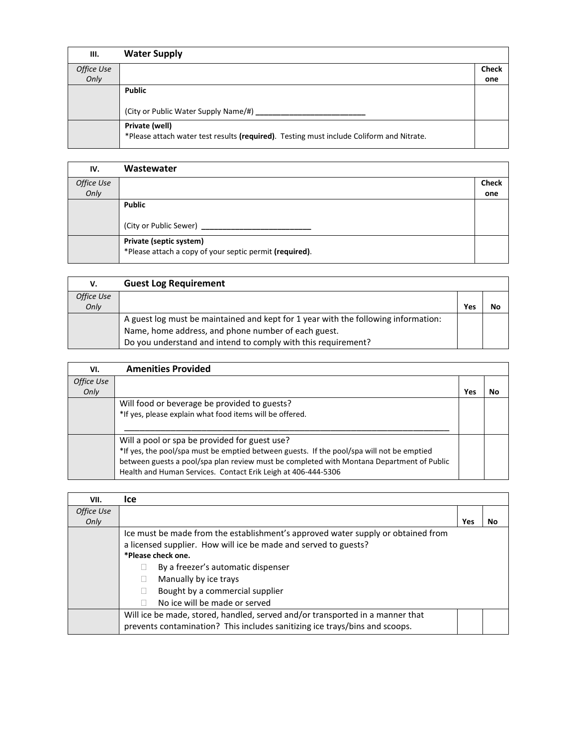| III.       | <b>Water Supply</b>                                                                                        |              |
|------------|------------------------------------------------------------------------------------------------------------|--------------|
| Office Use |                                                                                                            | <b>Check</b> |
| Only       |                                                                                                            | one          |
|            | <b>Public</b>                                                                                              |              |
|            | (City or Public Water Supply Name/#) _______                                                               |              |
|            | Private (well)<br>*Please attach water test results (required). Testing must include Coliform and Nitrate. |              |

| IV.        | Wastewater                                              |              |
|------------|---------------------------------------------------------|--------------|
| Office Use |                                                         | <b>Check</b> |
| Only       |                                                         | one          |
|            | <b>Public</b>                                           |              |
|            |                                                         |              |
|            | (City or Public Sewer)                                  |              |
|            | Private (septic system)                                 |              |
|            | *Please attach a copy of your septic permit (required). |              |
|            |                                                         |              |

| v.         | <b>Guest Log Requirement</b>                                                       |     |    |
|------------|------------------------------------------------------------------------------------|-----|----|
| Office Use |                                                                                    |     |    |
| Only       |                                                                                    | Yes | No |
|            | A guest log must be maintained and kept for 1 year with the following information: |     |    |
|            | Name, home address, and phone number of each guest.                                |     |    |
|            | Do you understand and intend to comply with this requirement?                      |     |    |

| VI.        | <b>Amenities Provided</b>                                                                 |     |    |
|------------|-------------------------------------------------------------------------------------------|-----|----|
| Office Use |                                                                                           |     |    |
| Only       |                                                                                           | Yes | No |
|            | Will food or beverage be provided to guests?                                              |     |    |
|            | *If yes, please explain what food items will be offered.                                  |     |    |
|            |                                                                                           |     |    |
|            | Will a pool or spa be provided for guest use?                                             |     |    |
|            | *If yes, the pool/spa must be emptied between guests. If the pool/spa will not be emptied |     |    |
|            | between guests a pool/spa plan review must be completed with Montana Department of Public |     |    |
|            | Health and Human Services. Contact Erik Leigh at 406-444-5306                             |     |    |

| VII.       | lce.                                                                             |     |    |
|------------|----------------------------------------------------------------------------------|-----|----|
| Office Use |                                                                                  |     |    |
| Only       |                                                                                  | Yes | No |
|            | Ice must be made from the establishment's approved water supply or obtained from |     |    |
|            | a licensed supplier. How will ice be made and served to guests?                  |     |    |
|            | *Please check one.                                                               |     |    |
|            | By a freezer's automatic dispenser                                               |     |    |
|            | Manually by ice trays                                                            |     |    |
|            | Bought by a commercial supplier                                                  |     |    |
|            | No ice will be made or served                                                    |     |    |
|            | Will ice be made, stored, handled, served and/or transported in a manner that    |     |    |
|            | prevents contamination? This includes sanitizing ice trays/bins and scoops.      |     |    |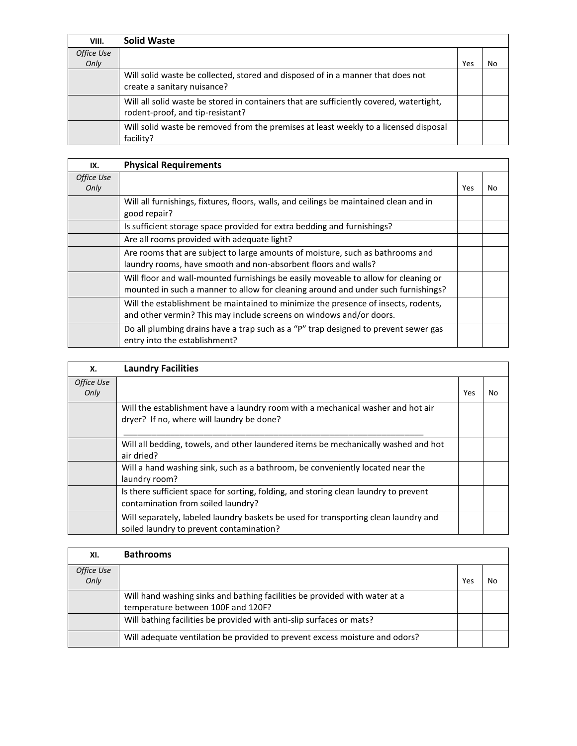| VIII.      | <b>Solid Waste</b>                                                                                                          |     |    |
|------------|-----------------------------------------------------------------------------------------------------------------------------|-----|----|
| Office Use |                                                                                                                             |     |    |
| Only       |                                                                                                                             | Yes | No |
|            | Will solid waste be collected, stored and disposed of in a manner that does not                                             |     |    |
|            | create a sanitary nuisance?                                                                                                 |     |    |
|            | Will all solid waste be stored in containers that are sufficiently covered, watertight,<br>rodent-proof, and tip-resistant? |     |    |
|            | Will solid waste be removed from the premises at least weekly to a licensed disposal<br>facility?                           |     |    |

| IX.                | <b>Physical Requirements</b>                                                           |     |     |
|--------------------|----------------------------------------------------------------------------------------|-----|-----|
| Office Use<br>Only |                                                                                        | Yes | No. |
|                    |                                                                                        |     |     |
|                    | Will all furnishings, fixtures, floors, walls, and ceilings be maintained clean and in |     |     |
|                    | good repair?                                                                           |     |     |
|                    | Is sufficient storage space provided for extra bedding and furnishings?                |     |     |
|                    | Are all rooms provided with adequate light?                                            |     |     |
|                    | Are rooms that are subject to large amounts of moisture, such as bathrooms and         |     |     |
|                    | laundry rooms, have smooth and non-absorbent floors and walls?                         |     |     |
|                    | Will floor and wall-mounted furnishings be easily moveable to allow for cleaning or    |     |     |
|                    | mounted in such a manner to allow for cleaning around and under such furnishings?      |     |     |
|                    | Will the establishment be maintained to minimize the presence of insects, rodents,     |     |     |
|                    | and other vermin? This may include screens on windows and/or doors.                    |     |     |
|                    | Do all plumbing drains have a trap such as a "P" trap designed to prevent sewer gas    |     |     |
|                    | entry into the establishment?                                                          |     |     |

| Х.                 | <b>Laundry Facilities</b>                                                                                                       |     |    |
|--------------------|---------------------------------------------------------------------------------------------------------------------------------|-----|----|
| Office Use<br>Only |                                                                                                                                 | Yes | Nο |
|                    | Will the establishment have a laundry room with a mechanical washer and hot air<br>dryer? If no, where will laundry be done?    |     |    |
|                    | Will all bedding, towels, and other laundered items be mechanically washed and hot<br>air dried?                                |     |    |
|                    | Will a hand washing sink, such as a bathroom, be conveniently located near the<br>laundry room?                                 |     |    |
|                    | Is there sufficient space for sorting, folding, and storing clean laundry to prevent<br>contamination from soiled laundry?      |     |    |
|                    | Will separately, labeled laundry baskets be used for transporting clean laundry and<br>soiled laundry to prevent contamination? |     |    |

| XI.                | <b>Bathrooms</b>                                                                                                 |     |    |
|--------------------|------------------------------------------------------------------------------------------------------------------|-----|----|
| Office Use<br>Only |                                                                                                                  | Yes | No |
|                    | Will hand washing sinks and bathing facilities be provided with water at a<br>temperature between 100F and 120F? |     |    |
|                    | Will bathing facilities be provided with anti-slip surfaces or mats?                                             |     |    |
|                    | Will adequate ventilation be provided to prevent excess moisture and odors?                                      |     |    |